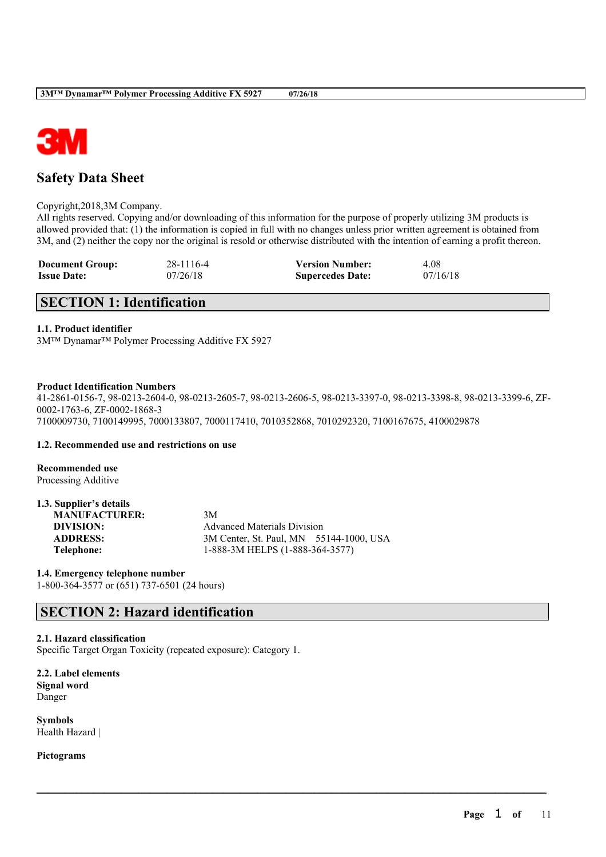

# **Safety Data Sheet**

#### Copyright,2018,3M Company.

All rights reserved. Copying and/or downloading of this information for the purpose of properly utilizing 3M products is allowed provided that: (1) the information is copied in full with no changes unless prior written agreement is obtained from 3M, and (2) neither the copy nor the original is resold or otherwise distributed with the intention of earning a profit thereon.

| <b>Document Group:</b> | 28-1116-4 | <b>Version Number:</b>  | 4.08     |
|------------------------|-----------|-------------------------|----------|
| <b>Issue Date:</b>     | 07/26/18  | <b>Supercedes Date:</b> | 07/16/18 |

# **SECTION 1: Identification**

### **1.1. Product identifier**

3M™ Dynamar™ Polymer Processing Additive FX 5927

#### **Product Identification Numbers**

41-2861-0156-7, 98-0213-2604-0, 98-0213-2605-7, 98-0213-2606-5, 98-0213-3397-0, 98-0213-3398-8, 98-0213-3399-6, ZF-0002-1763-6, ZF-0002-1868-3 7100009730, 7100149995, 7000133807, 7000117410, 7010352868, 7010292320, 7100167675, 4100029878

 $\mathcal{L}_\mathcal{L} = \mathcal{L}_\mathcal{L} = \mathcal{L}_\mathcal{L} = \mathcal{L}_\mathcal{L} = \mathcal{L}_\mathcal{L} = \mathcal{L}_\mathcal{L} = \mathcal{L}_\mathcal{L} = \mathcal{L}_\mathcal{L} = \mathcal{L}_\mathcal{L} = \mathcal{L}_\mathcal{L} = \mathcal{L}_\mathcal{L} = \mathcal{L}_\mathcal{L} = \mathcal{L}_\mathcal{L} = \mathcal{L}_\mathcal{L} = \mathcal{L}_\mathcal{L} = \mathcal{L}_\mathcal{L} = \mathcal{L}_\mathcal{L}$ 

#### **1.2. Recommended use and restrictions on use**

**Recommended use** Processing Additive

#### **1.3. Supplier's details**

| <b>MANUFACTURER:</b> | 3M                                      |
|----------------------|-----------------------------------------|
| DIVISION:            | <b>Advanced Materials Division</b>      |
| <b>ADDRESS:</b>      | 3M Center, St. Paul, MN 55144-1000, USA |
| Telephone:           | 1-888-3M HELPS (1-888-364-3577)         |

#### **1.4. Emergency telephone number**

1-800-364-3577 or (651) 737-6501 (24 hours)

# **SECTION 2: Hazard identification**

#### **2.1. Hazard classification**

Specific Target Organ Toxicity (repeated exposure): Category 1.

**2.2. Label elements Signal word** Danger

**Symbols** Health Hazard |

**Pictograms**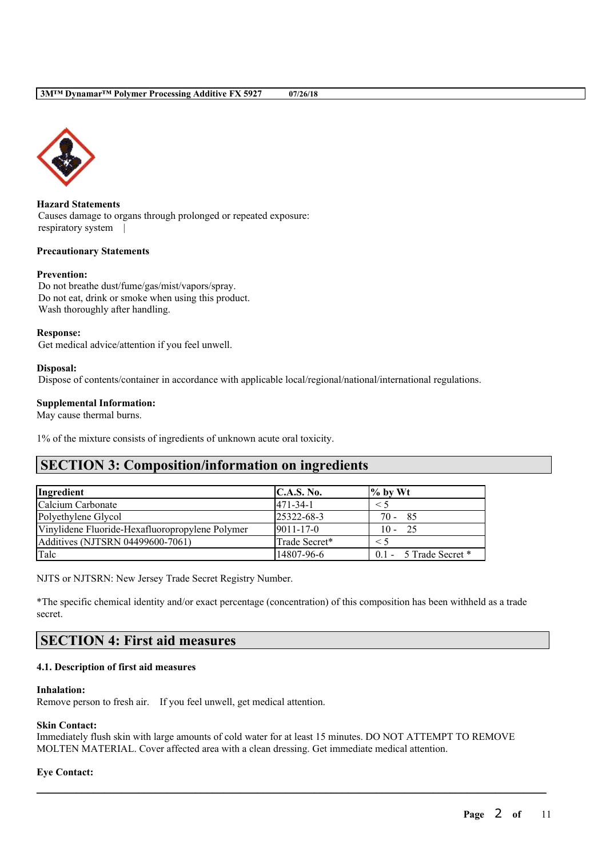

**Hazard Statements** Causes damage to organs through prolonged or repeated exposure: respiratory system |

#### **Precautionary Statements**

#### **Prevention:**

Do not breathe dust/fume/gas/mist/vapors/spray. Do not eat, drink or smoke when using this product. Wash thoroughly after handling.

#### **Response:**

Get medical advice/attention if you feel unwell.

#### **Disposal:**

Dispose of contents/container in accordance with applicable local/regional/national/international regulations.

#### **Supplemental Information:**

May cause thermal burns.

1% of the mixture consists of ingredients of unknown acute oral toxicity.

# **SECTION 3: Composition/information on ingredients**

| Ingredient                                      | C.A.S. No.       | $\frac{9}{6}$ by Wt        |
|-------------------------------------------------|------------------|----------------------------|
| Calcium Carbonate                               | $ 471-34-1 $     | $\leq 5$                   |
| Polyethylene Glycol                             | $25322 - 68 - 3$ | $70 - 85$                  |
| Vinylidene Fluoride-Hexafluoropropylene Polymer | $9011 - 17 - 0$  | $10 - 25$                  |
| Additives (NJTSRN 04499600-7061)                | Trade Secret*    | $<$ 5                      |
| Talc                                            | 14807-96-6       | $0.1 - 5$ Trade Secret $*$ |

NJTS or NJTSRN: New Jersey Trade Secret Registry Number.

\*The specific chemical identity and/or exact percentage (concentration) of this composition has been withheld as a trade secret.

# **SECTION 4: First aid measures**

### **4.1. Description of first aid measures**

#### **Inhalation:**

Remove person to fresh air. If you feel unwell, get medical attention.

#### **Skin Contact:**

Immediately flush skin with large amounts of cold water for at least 15 minutes. DO NOT ATTEMPT TO REMOVE MOLTEN MATERIAL. Cover affected area with a clean dressing. Get immediate medical attention.

 $\mathcal{L}_\mathcal{L} = \mathcal{L}_\mathcal{L} = \mathcal{L}_\mathcal{L} = \mathcal{L}_\mathcal{L} = \mathcal{L}_\mathcal{L} = \mathcal{L}_\mathcal{L} = \mathcal{L}_\mathcal{L} = \mathcal{L}_\mathcal{L} = \mathcal{L}_\mathcal{L} = \mathcal{L}_\mathcal{L} = \mathcal{L}_\mathcal{L} = \mathcal{L}_\mathcal{L} = \mathcal{L}_\mathcal{L} = \mathcal{L}_\mathcal{L} = \mathcal{L}_\mathcal{L} = \mathcal{L}_\mathcal{L} = \mathcal{L}_\mathcal{L}$ 

#### **Eye Contact:**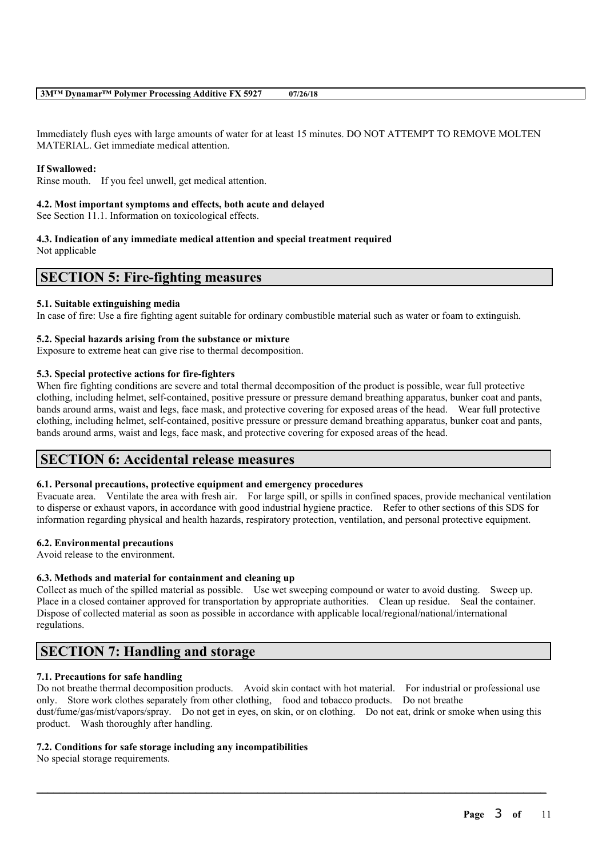Immediately flush eyes with large amounts of water for at least 15 minutes. DO NOT ATTEMPT TO REMOVE MOLTEN MATERIAL. Get immediate medical attention.

#### **If Swallowed:**

Rinse mouth. If you feel unwell, get medical attention.

#### **4.2. Most important symptoms and effects, both acute and delayed**

See Section 11.1. Information on toxicological effects.

#### **4.3. Indication of any immediate medical attention and special treatment required** Not applicable

## **SECTION 5: Fire-fighting measures**

#### **5.1. Suitable extinguishing media**

In case of fire: Use a fire fighting agent suitable for ordinary combustible material such as water or foam to extinguish.

#### **5.2. Special hazards arising from the substance or mixture**

Exposure to extreme heat can give rise to thermal decomposition.

#### **5.3. Special protective actions for fire-fighters**

When fire fighting conditions are severe and total thermal decomposition of the product is possible, wear full protective clothing, including helmet, self-contained, positive pressure or pressure demand breathing apparatus, bunker coat and pants, bands around arms, waist and legs, face mask, and protective covering for exposed areas of the head. Wear full protective clothing, including helmet, self-contained, positive pressure or pressure demand breathing apparatus, bunker coat and pants, bands around arms, waist and legs, face mask, and protective covering for exposed areas of the head.

## **SECTION 6: Accidental release measures**

#### **6.1. Personal precautions, protective equipment and emergency procedures**

Evacuate area. Ventilate the area with fresh air. For large spill, or spills in confined spaces, provide mechanical ventilation to disperse or exhaust vapors, in accordance with good industrial hygiene practice. Refer to other sections of this SDS for information regarding physical and health hazards, respiratory protection, ventilation, and personal protective equipment.

### **6.2. Environmental precautions**

Avoid release to the environment.

#### **6.3. Methods and material for containment and cleaning up**

Collect as much of the spilled material as possible. Use wet sweeping compound or water to avoid dusting. Sweep up. Place in a closed container approved for transportation by appropriate authorities. Clean up residue. Seal the container. Dispose of collected material as soon as possible in accordance with applicable local/regional/national/international regulations.

# **SECTION 7: Handling and storage**

#### **7.1. Precautions for safe handling**

Do not breathe thermal decomposition products. Avoid skin contact with hot material. For industrial or professional use only. Store work clothes separately from other clothing, food and tobacco products. Do not breathe dust/fume/gas/mist/vapors/spray. Do not get in eyes, on skin, or on clothing. Do not eat, drink or smoke when using this product. Wash thoroughly after handling.

 $\mathcal{L}_\mathcal{L} = \mathcal{L}_\mathcal{L} = \mathcal{L}_\mathcal{L} = \mathcal{L}_\mathcal{L} = \mathcal{L}_\mathcal{L} = \mathcal{L}_\mathcal{L} = \mathcal{L}_\mathcal{L} = \mathcal{L}_\mathcal{L} = \mathcal{L}_\mathcal{L} = \mathcal{L}_\mathcal{L} = \mathcal{L}_\mathcal{L} = \mathcal{L}_\mathcal{L} = \mathcal{L}_\mathcal{L} = \mathcal{L}_\mathcal{L} = \mathcal{L}_\mathcal{L} = \mathcal{L}_\mathcal{L} = \mathcal{L}_\mathcal{L}$ 

### **7.2. Conditions for safe storage including any incompatibilities**

No special storage requirements.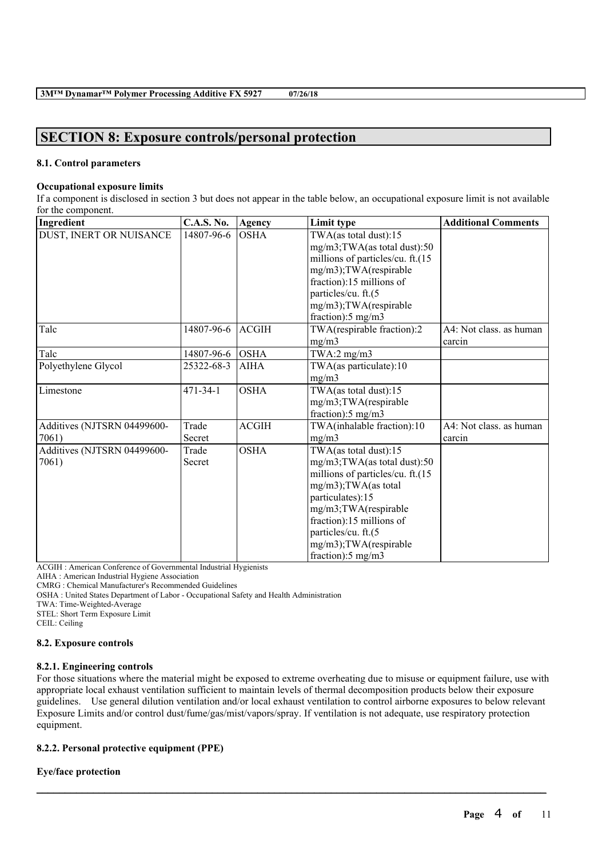# **SECTION 8: Exposure controls/personal protection**

### **8.1. Control parameters**

### **Occupational exposure limits**

If a component is disclosed in section 3 but does not appear in the table below, an occupational exposure limit is not available for the component.

| Ingredient                  | <b>C.A.S. No.</b> | Agency       | Limit type                       | <b>Additional Comments</b> |
|-----------------------------|-------------------|--------------|----------------------------------|----------------------------|
| DUST, INERT OR NUISANCE     | 14807-96-6        | <b>OSHA</b>  | TWA(as total dust):15            |                            |
|                             |                   |              | mg/m3;TWA(as total dust):50      |                            |
|                             |                   |              | millions of particles/cu. ft.(15 |                            |
|                             |                   |              | mg/m3);TWA(respirable            |                            |
|                             |                   |              | fraction):15 millions of         |                            |
|                             |                   |              | particles/cu. ft.(5              |                            |
|                             |                   |              | mg/m3);TWA(respirable            |                            |
|                             |                   |              | fraction): $5 \text{ mg/m}$ 3    |                            |
| Talc                        | 14807-96-6        | <b>ACGIH</b> | TWA(respirable fraction):2       | A4: Not class. as human    |
|                             |                   |              | mg/m3                            | carcin                     |
| Talc                        | 14807-96-6        | <b>OSHA</b>  | TWA:2 $mg/m3$                    |                            |
| Polyethylene Glycol         | 25322-68-3        | <b>AIHA</b>  | TWA(as particulate):10           |                            |
|                             |                   |              | mg/m3                            |                            |
| Limestone                   | $471 - 34 - 1$    | <b>OSHA</b>  | TWA(as total dust):15            |                            |
|                             |                   |              | mg/m3;TWA(respirable             |                            |
|                             |                   |              | fraction):5 mg/m3                |                            |
| Additives (NJTSRN 04499600- | Trade             | <b>ACGIH</b> | TWA(inhalable fraction):10       | A4: Not class. as human    |
| 7061)                       | Secret            |              | mg/m3                            | carcin                     |
| Additives (NJTSRN 04499600- | Trade             | <b>OSHA</b>  | TWA(as total dust):15            |                            |
| 7061)                       | Secret            |              | mg/m3;TWA(as total dust):50      |                            |
|                             |                   |              | millions of particles/cu. ft.(15 |                            |
|                             |                   |              | mg/m3);TWA(as total              |                            |
|                             |                   |              | particulates):15                 |                            |
|                             |                   |              | mg/m3;TWA(respirable             |                            |
|                             |                   |              | fraction):15 millions of         |                            |
|                             |                   |              | particles/cu. ft.(5              |                            |
|                             |                   |              | mg/m3);TWA(respirable            |                            |
|                             |                   |              | fraction): $5 \text{ mg/m}$ 3    |                            |

ACGIH : American Conference of Governmental Industrial Hygienists

AIHA : American Industrial Hygiene Association

CMRG : Chemical Manufacturer's Recommended Guidelines

OSHA : United States Department of Labor - Occupational Safety and Health Administration

TWA: Time-Weighted-Average

STEL: Short Term Exposure Limit CEIL: Ceiling

**8.2. Exposure controls**

#### **8.2.1. Engineering controls**

For those situations where the material might be exposed to extreme overheating due to misuse or equipment failure, use with appropriate local exhaust ventilation sufficient to maintain levels of thermal decomposition products below their exposure guidelines. Use general dilution ventilation and/or local exhaust ventilation to control airborne exposures to below relevant Exposure Limits and/or control dust/fume/gas/mist/vapors/spray. If ventilation is not adequate, use respiratory protection equipment.

 $\mathcal{L}_\mathcal{L} = \mathcal{L}_\mathcal{L} = \mathcal{L}_\mathcal{L} = \mathcal{L}_\mathcal{L} = \mathcal{L}_\mathcal{L} = \mathcal{L}_\mathcal{L} = \mathcal{L}_\mathcal{L} = \mathcal{L}_\mathcal{L} = \mathcal{L}_\mathcal{L} = \mathcal{L}_\mathcal{L} = \mathcal{L}_\mathcal{L} = \mathcal{L}_\mathcal{L} = \mathcal{L}_\mathcal{L} = \mathcal{L}_\mathcal{L} = \mathcal{L}_\mathcal{L} = \mathcal{L}_\mathcal{L} = \mathcal{L}_\mathcal{L}$ 

## **8.2.2. Personal protective equipment (PPE)**

## **Eye/face protection**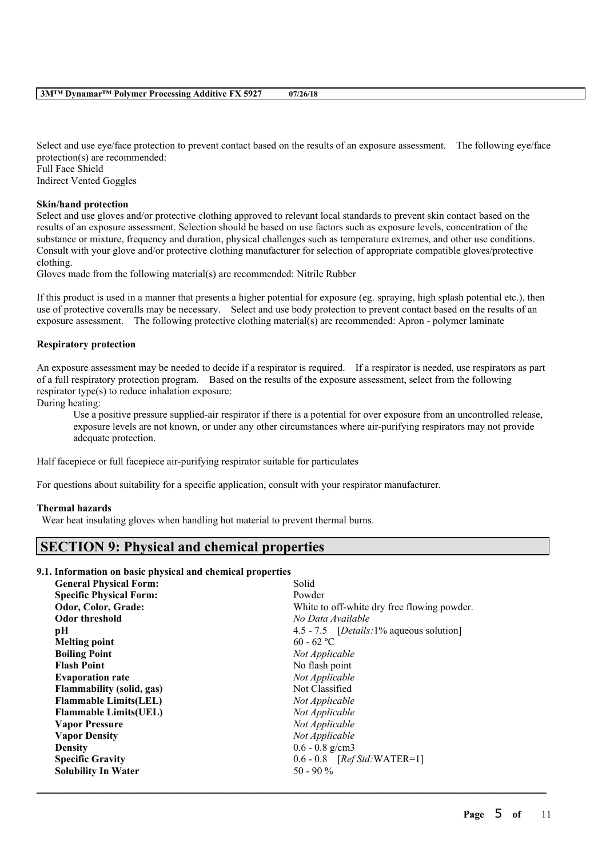Select and use eye/face protection to prevent contact based on the results of an exposure assessment. The following eye/face protection(s) are recommended: Full Face Shield Indirect Vented Goggles

#### **Skin/hand protection**

Select and use gloves and/or protective clothing approved to relevant local standards to prevent skin contact based on the results of an exposure assessment. Selection should be based on use factors such as exposure levels, concentration of the substance or mixture, frequency and duration, physical challenges such as temperature extremes, and other use conditions. Consult with your glove and/or protective clothing manufacturer for selection of appropriate compatible gloves/protective clothing.

Gloves made from the following material(s) are recommended: Nitrile Rubber

If this product is used in a manner that presents a higher potential for exposure (eg. spraying, high splash potential etc.), then use of protective coveralls may be necessary. Select and use body protection to prevent contact based on the results of an exposure assessment. The following protective clothing material(s) are recommended: Apron - polymer laminate

#### **Respiratory protection**

An exposure assessment may be needed to decide if a respirator is required. If a respirator is needed, use respirators as part of a full respiratory protection program. Based on the results of the exposure assessment, select from the following respirator type(s) to reduce inhalation exposure:

During heating:

Use a positive pressure supplied-air respirator if there is a potential for over exposure from an uncontrolled release, exposure levels are not known, or under any other circumstances where air-purifying respirators may not provide adequate protection.

Half facepiece or full facepiece air-purifying respirator suitable for particulates

For questions about suitability for a specific application, consult with your respirator manufacturer.

#### **Thermal hazards**

Wear heat insulating gloves when handling hot material to prevent thermal burns.

# **SECTION 9: Physical and chemical properties**

#### **9.1. Information on basic physical and chemical properties**

| <b>General Physical Form:</b>    | Solid                                            |
|----------------------------------|--------------------------------------------------|
| <b>Specific Physical Form:</b>   | Powder                                           |
| Odor, Color, Grade:              | White to off-white dry free flowing powder.      |
| <b>Odor threshold</b>            | No Data Available                                |
| pН                               | 4.5 - 7.5 [ <i>Details</i> :1% aqueous solution] |
| <b>Melting point</b>             | $60 - 62$ °C                                     |
| <b>Boiling Point</b>             | Not Applicable                                   |
| <b>Flash Point</b>               | No flash point                                   |
| <b>Evaporation rate</b>          | Not Applicable                                   |
| <b>Flammability (solid, gas)</b> | Not Classified                                   |
| <b>Flammable Limits(LEL)</b>     | Not Applicable                                   |
| <b>Flammable Limits (UEL)</b>    | Not Applicable                                   |
| <b>Vapor Pressure</b>            | Not Applicable                                   |
| <b>Vapor Density</b>             | Not Applicable                                   |
| <b>Density</b>                   | $0.6 - 0.8$ g/cm3                                |
| <b>Specific Gravity</b>          | $0.6 - 0.8$ [Ref Std: WATER=1]                   |
| <b>Solubility In Water</b>       | $50 - 90\%$                                      |
|                                  |                                                  |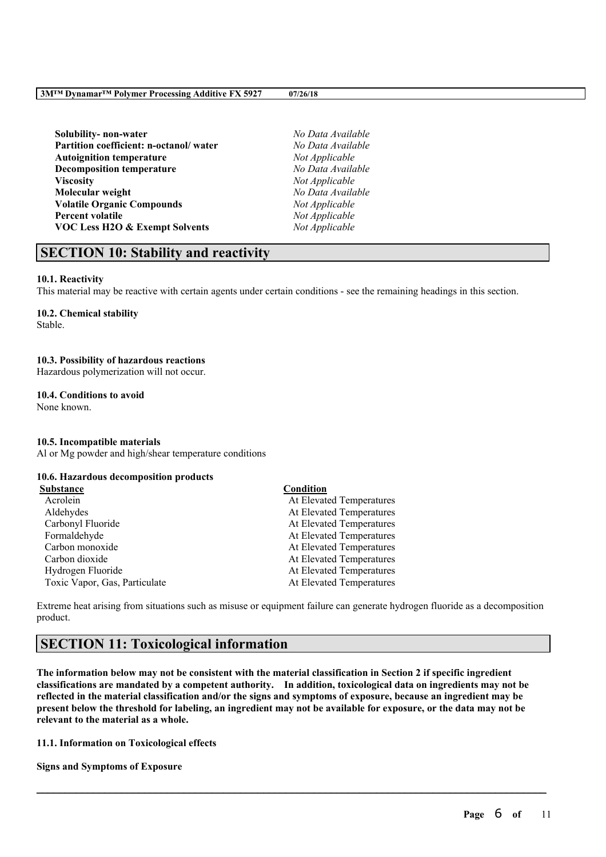**Solubility- non-water** *No Data Available* **Partition coefficient: n-octanol/ water** *No Data Available* **Autoignition temperature** *Not Applicable* **Decomposition temperature** *No Data Available* **Viscosity** *Not Applicable* **Molecular weight** *No Data Available* **Volatile Organic Compounds** *Not Applicable* **Percent volatile** *Not Applicable* **VOC Less H2O & Exempt Solvents** *Not Applicable*

# **SECTION 10: Stability and reactivity**

#### **10.1. Reactivity**

This material may be reactive with certain agents under certain conditions - see the remaining headings in this section.

## **10.2. Chemical stability**

Stable.

#### **10.3. Possibility of hazardous reactions**

Hazardous polymerization will not occur.

#### **10.4. Conditions to avoid**

None known.

#### **10.5. Incompatible materials**

Al or Mg powder and high/shear temperature conditions

## **10.6. Hazardous decomposition products**

| Substance                     | Condition                |
|-------------------------------|--------------------------|
| Acrolein                      | At Elevated Temperatures |
| Aldehydes                     | At Elevated Temperatures |
| Carbonyl Fluoride             | At Elevated Temperatures |
| Formaldehyde                  | At Elevated Temperatures |
| Carbon monoxide               | At Elevated Temperatures |
| Carbon dioxide                | At Elevated Temperatures |
| Hydrogen Fluoride             | At Elevated Temperatures |
| Toxic Vapor, Gas, Particulate | At Elevated Temperatures |

Extreme heat arising from situations such as misuse or equipment failure can generate hydrogen fluoride as a decomposition product.

# **SECTION 11: Toxicological information**

The information below may not be consistent with the material classification in Section 2 if specific ingredient **classifications are mandated by a competent authority. In addition, toxicological data on ingredients may not be** reflected in the material classification and/or the signs and symptoms of exposure, because an ingredient may be present below the threshold for labeling, an ingredient may not be available for exposure, or the data may not be **relevant to the material as a whole.**

 $\mathcal{L}_\mathcal{L} = \mathcal{L}_\mathcal{L} = \mathcal{L}_\mathcal{L} = \mathcal{L}_\mathcal{L} = \mathcal{L}_\mathcal{L} = \mathcal{L}_\mathcal{L} = \mathcal{L}_\mathcal{L} = \mathcal{L}_\mathcal{L} = \mathcal{L}_\mathcal{L} = \mathcal{L}_\mathcal{L} = \mathcal{L}_\mathcal{L} = \mathcal{L}_\mathcal{L} = \mathcal{L}_\mathcal{L} = \mathcal{L}_\mathcal{L} = \mathcal{L}_\mathcal{L} = \mathcal{L}_\mathcal{L} = \mathcal{L}_\mathcal{L}$ 

#### **11.1. Information on Toxicological effects**

**Signs and Symptoms of Exposure**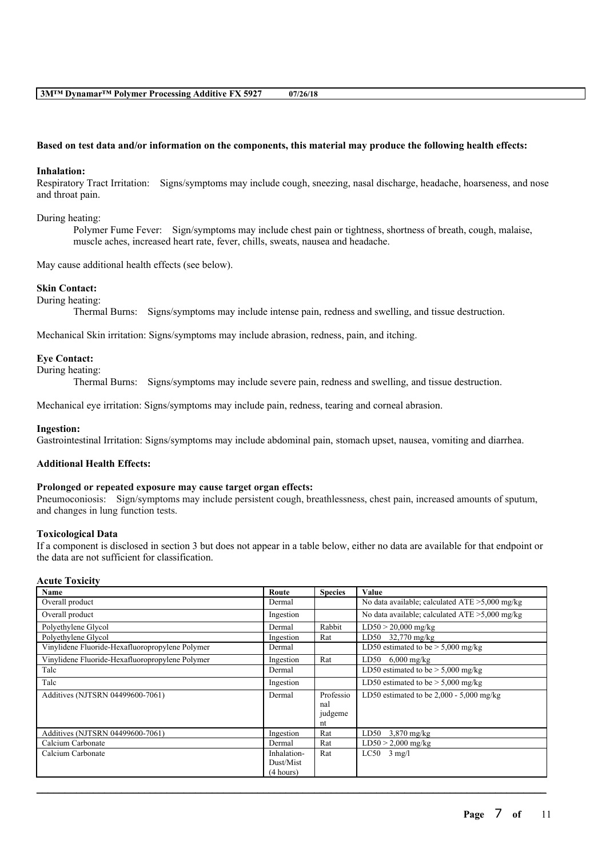#### Based on test data and/or information on the components, this material may produce the following health effects:

#### **Inhalation:**

Respiratory Tract Irritation: Signs/symptoms may include cough, sneezing, nasal discharge, headache, hoarseness, and nose and throat pain.

#### During heating:

Polymer Fume Fever: Sign/symptoms may include chest pain or tightness, shortness of breath, cough, malaise, muscle aches, increased heart rate, fever, chills, sweats, nausea and headache.

May cause additional health effects (see below).

#### **Skin Contact:**

During heating:

Thermal Burns: Signs/symptoms may include intense pain, redness and swelling, and tissue destruction.

Mechanical Skin irritation: Signs/symptoms may include abrasion, redness, pain, and itching.

#### **Eye Contact:**

#### During heating:

Thermal Burns: Signs/symptoms may include severe pain, redness and swelling, and tissue destruction.

Mechanical eye irritation: Signs/symptoms may include pain, redness, tearing and corneal abrasion.

#### **Ingestion:**

Gastrointestinal Irritation: Signs/symptoms may include abdominal pain, stomach upset, nausea, vomiting and diarrhea.

#### **Additional Health Effects:**

#### **Prolonged or repeated exposure may cause target organ effects:**

Pneumoconiosis: Sign/symptoms may include persistent cough, breathlessness, chest pain, increased amounts of sputum, and changes in lung function tests.

#### **Toxicological Data**

If a component is disclosed in section 3 but does not appear in a table below, either no data are available for that endpoint or the data are not sufficient for classification.

#### **Acute Toxicity**

| Name                                            | Route       | <b>Species</b> | Value                                             |
|-------------------------------------------------|-------------|----------------|---------------------------------------------------|
| Overall product                                 | Dermal      |                | No data available; calculated $ATE > 5,000$ mg/kg |
| Overall product                                 | Ingestion   |                | No data available; calculated $ATE > 5,000$ mg/kg |
| Polyethylene Glycol                             | Dermal      | Rabbit         | $LD50 > 20,000$ mg/kg                             |
| Polyethylene Glycol                             | Ingestion   | Rat            | LD50 32,770 mg/kg                                 |
| Vinylidene Fluoride-Hexafluoropropylene Polymer | Dermal      |                | LD50 estimated to be $> 5,000$ mg/kg              |
| Vinylidene Fluoride-Hexafluoropropylene Polymer | Ingestion   | Rat            | LD50 6,000 mg/kg                                  |
| Talc                                            | Dermal      |                | LD50 estimated to be $> 5,000$ mg/kg              |
| Talc                                            | Ingestion   |                | LD50 estimated to be $> 5,000$ mg/kg              |
| Additives (NJTSRN 04499600-7061)                | Dermal      | Professio      | LD50 estimated to be $2,000 - 5,000$ mg/kg        |
|                                                 |             | nal            |                                                   |
|                                                 |             | judgeme        |                                                   |
|                                                 |             | nt             |                                                   |
| Additives (NJTSRN 04499600-7061)                | Ingestion   | Rat            | LD50 $3,870$ mg/kg                                |
| Calcium Carbonate                               | Dermal      | Rat            | $LD50 > 2,000$ mg/kg                              |
| Calcium Carbonate                               | Inhalation- | Rat            | $LC50$ 3 mg/l                                     |
|                                                 | Dust/Mist   |                |                                                   |
|                                                 | (4 hours)   |                |                                                   |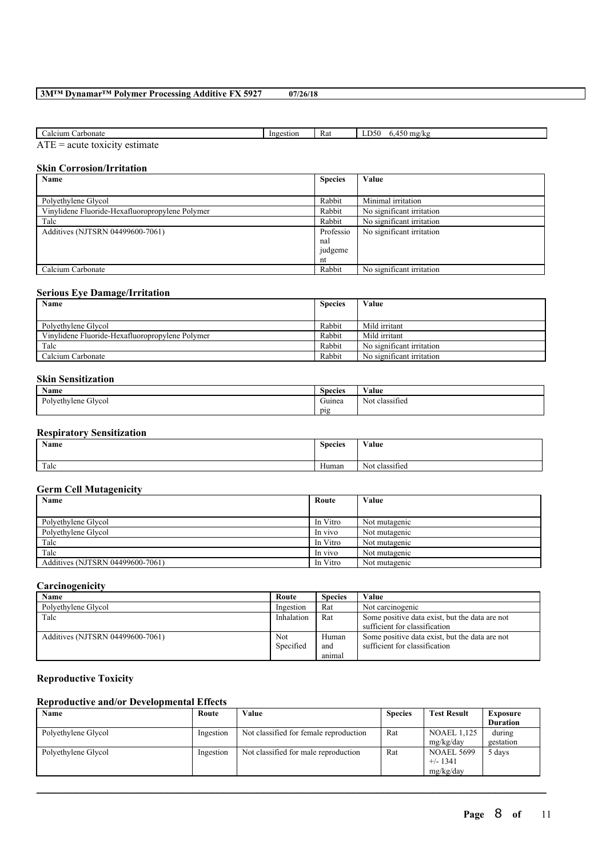| Carbonate<br>Calcium                                                          | Ingestion | Rat | 750<br>$m\sigma/k$<br>A<br>,,,,, |
|-------------------------------------------------------------------------------|-----------|-----|----------------------------------|
| $\sim$<br>actumota<br><b>AIL</b><br>$t \alpha v 1 \alpha 1 t v$<br>00116<br>_ |           |     |                                  |

 $ATE = acute$  toxicity estimate

### **Skin Corrosion/Irritation**

| Name                                            | <b>Species</b> | Value                     |
|-------------------------------------------------|----------------|---------------------------|
|                                                 |                |                           |
| Polyethylene Glycol                             | Rabbit         | Minimal irritation        |
| Vinylidene Fluoride-Hexafluoropropylene Polymer | Rabbit         | No significant irritation |
| Talc                                            | Rabbit         | No significant irritation |
| Additives (NJTSRN 04499600-7061)                | Professio      | No significant irritation |
|                                                 | nal            |                           |
|                                                 | judgeme        |                           |
|                                                 | nt             |                           |
| Calcium Carbonate                               | Rabbit         | No significant irritation |

### **Serious Eye Damage/Irritation**

| Name                                            | <b>Species</b> | Value                     |
|-------------------------------------------------|----------------|---------------------------|
|                                                 |                |                           |
| Polvethylene Glycol                             | Rabbit         | Mild irritant             |
| Vinylidene Fluoride-Hexafluoropropylene Polymer | Rabbit         | Mild irritant             |
| Talc                                            | Rabbit         | No significant irritation |
| Calcium Carbonate                               | Rabbit         | No significant irritation |

## **Skin Sensitization**

| <b>Name</b>                        | $\sim$<br><b>Species</b> | $\mathbf{v}$ $\mathbf{v}$<br>⁄ alue |
|------------------------------------|--------------------------|-------------------------------------|
| ~<br>n.<br>Polvethylene<br>`Glycol | $\sim$<br>Guinea         | ۰.<br>classified<br>Not             |
|                                    | pig                      |                                     |

## **Respiratory Sensitization**

| Name | <b>Species</b>        | Value                                  |
|------|-----------------------|----------------------------------------|
| Talc | $\mathbf{v}$<br>Human | . .<br>$\sim$ $\sim$<br>Not classified |

## **Germ Cell Mutagenicity**

| Name                             | Route    | Value         |
|----------------------------------|----------|---------------|
|                                  |          |               |
| Polyethylene Glycol              | In Vitro | Not mutagenic |
| Polyethylene Glycol              | In vivo  | Not mutagenic |
| Talc                             | In Vitro | Not mutagenic |
| Talc                             | In vivo  | Not mutagenic |
| Additives (NJTSRN 04499600-7061) | In Vitro | Not mutagenic |

### **Carcinogenicity**

| Name                             | Route      | <b>Species</b> | Value                                          |
|----------------------------------|------------|----------------|------------------------------------------------|
| Polvethylene Glycol              | Ingestion  | Rat            | Not carcinogenic                               |
| Talc                             | Inhalation | Rat            | Some positive data exist, but the data are not |
|                                  |            |                | sufficient for classification                  |
| Additives (NJTSRN 04499600-7061) | Not        | Human          | Some positive data exist, but the data are not |
|                                  | Specified  | and            | sufficient for classification                  |
|                                  |            | animal         |                                                |

## **Reproductive Toxicity**

## **Reproductive and/or Developmental Effects**

| Name                | Route     | Value                                  | <b>Species</b> | <b>Test Result</b>                           | <b>Exposure</b>     |
|---------------------|-----------|----------------------------------------|----------------|----------------------------------------------|---------------------|
|                     |           |                                        |                |                                              | <b>Duration</b>     |
| Polyethylene Glycol | Ingestion | Not classified for female reproduction | Rat            | <b>NOAEL 1.125</b><br>mg/kg/day              | during<br>gestation |
| Polyethylene Glycol | Ingestion | Not classified for male reproduction   | Rat            | <b>NOAEL 5699</b><br>$+/- 1341$<br>mg/kg/day | 5 days              |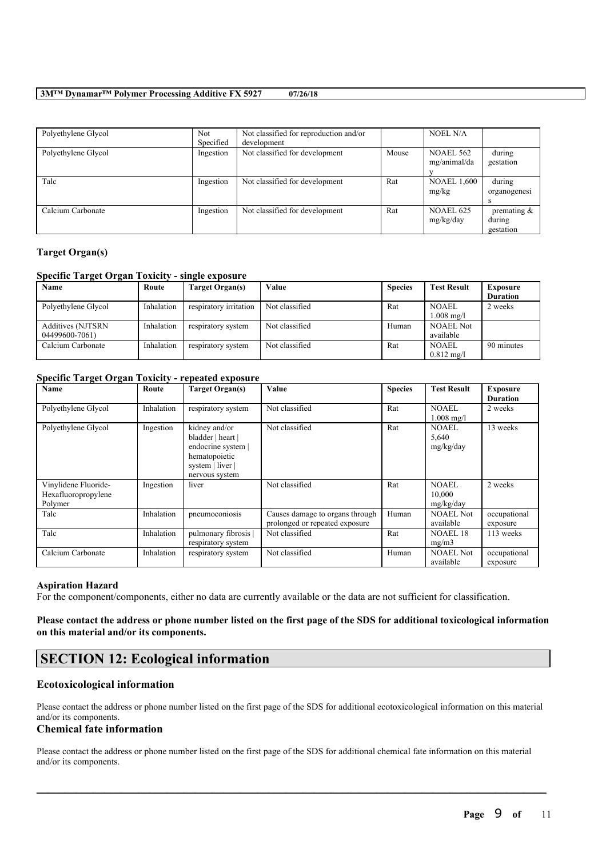| Polyethylene Glycol | <b>Not</b><br>Specified | Not classified for reproduction and/or<br>development |       | <b>NOEL N/A</b>                  |                                       |
|---------------------|-------------------------|-------------------------------------------------------|-------|----------------------------------|---------------------------------------|
| Polyethylene Glycol | Ingestion               | Not classified for development                        | Mouse | <b>NOAEL 562</b><br>mg/animal/da | during<br>gestation                   |
| Talc                | Ingestion               | Not classified for development                        | Rat   | <b>NOAEL 1,600</b><br>mg/kg      | during<br>organogenesi                |
| Calcium Carbonate   | Ingestion               | Not classified for development                        | Rat   | NOAEL 625<br>mg/kg/day           | premating $\&$<br>during<br>gestation |

#### **Target Organ(s)**

### **Specific Target Organ Toxicity - single exposure**

| <b>Name</b>              | Route      | Target Organ(s)        | Value          | <b>Species</b> | <b>Test Result</b>    | <b>Exposure</b> |
|--------------------------|------------|------------------------|----------------|----------------|-----------------------|-----------------|
|                          |            |                        |                |                |                       | <b>Duration</b> |
| Polyethylene Glycol      | Inhalation | respiratory irritation | Not classified | Rat            | <b>NOAEL</b>          | 2 weeks         |
|                          |            |                        |                |                | $1.008 \text{ m}$ g/l |                 |
| <b>Additives (NJTSRN</b> | Inhalation | respiratory system     | Not classified | Human          | <b>NOAEL Not</b>      |                 |
| 04499600-7061)           |            |                        |                |                | available             |                 |
| Calcium Carbonate        | Inhalation | respiratory system     | Not classified | Rat            | <b>NOAEL</b>          | 90 minutes      |
|                          |            |                        |                |                | $0.812 \text{ mg/l}$  |                 |

### **Specific Target Organ Toxicity - repeated exposure**

| <b>Name</b>                                            | Route      | Target Organ(s)                                                                                                 | Value                                                             | <b>Species</b> | <b>Test Result</b>                 | <b>Exposure</b><br><b>Duration</b> |
|--------------------------------------------------------|------------|-----------------------------------------------------------------------------------------------------------------|-------------------------------------------------------------------|----------------|------------------------------------|------------------------------------|
| Polyethylene Glycol                                    | Inhalation | respiratory system                                                                                              | Not classified                                                    | Rat            | NOAEL<br>$1.008$ mg/l              | 2 weeks                            |
| Polyethylene Glycol                                    | Ingestion  | kidney and/or<br>bladder   heart  <br>endocrine system  <br>hematopoietic<br>system   liver  <br>nervous system | Not classified                                                    | Rat            | <b>NOAEL</b><br>5,640<br>mg/kg/day | 13 weeks                           |
| Vinylidene Fluoride-<br>Hexafluoropropylene<br>Polymer | Ingestion  | liver                                                                                                           | Not classified                                                    | Rat            | NOAEL<br>10,000<br>mg/kg/day       | 2 weeks                            |
| Talc                                                   | Inhalation | pneumoconiosis                                                                                                  | Causes damage to organs through<br>prolonged or repeated exposure | Human          | <b>NOAEL Not</b><br>available      | occupational<br>exposure           |
| Talc                                                   | Inhalation | pulmonary fibrosis<br>respiratory system                                                                        | Not classified                                                    | Rat            | <b>NOAEL 18</b><br>mg/m3           | 113 weeks                          |
| Calcium Carbonate                                      | Inhalation | respiratory system                                                                                              | Not classified                                                    | Human          | <b>NOAEL Not</b><br>available      | occupational<br>exposure           |

#### **Aspiration Hazard**

For the component/components, either no data are currently available or the data are not sufficient for classification.

### Please contact the address or phone number listed on the first page of the SDS for additional toxicological information **on this material and/or its components.**

# **SECTION 12: Ecological information**

#### **Ecotoxicological information**

Please contact the address or phone number listed on the first page of the SDS for additional ecotoxicological information on this material and/or its components.

## **Chemical fate information**

Please contact the address or phone number listed on the first page of the SDS for additional chemical fate information on this material and/or its components.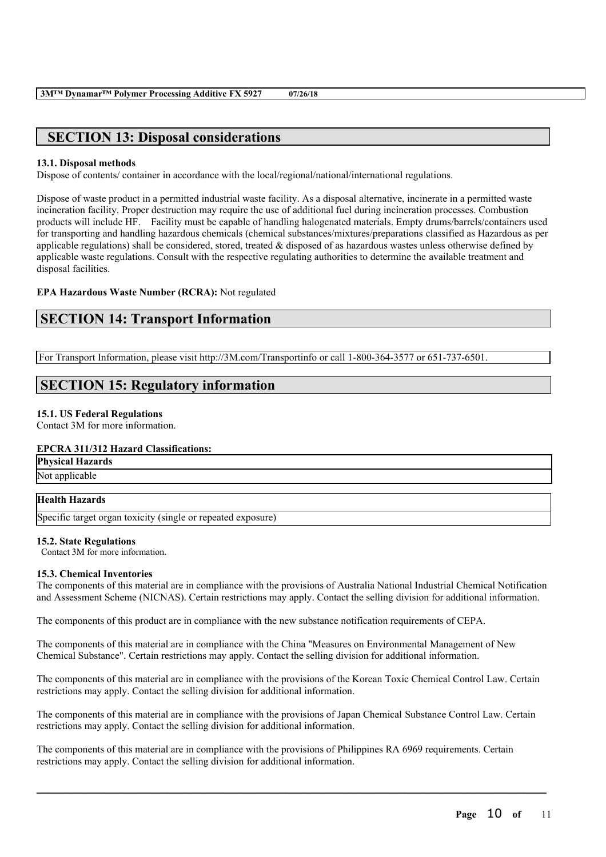# **SECTION 13: Disposal considerations**

#### **13.1. Disposal methods**

Dispose of contents/ container in accordance with the local/regional/national/international regulations.

Dispose of waste product in a permitted industrial waste facility. As a disposal alternative, incinerate in a permitted waste incineration facility. Proper destruction may require the use of additional fuel during incineration processes. Combustion products will include HF. Facility must be capable of handling halogenated materials. Empty drums/barrels/containers used for transporting and handling hazardous chemicals (chemical substances/mixtures/preparations classified as Hazardous as per applicable regulations) shall be considered, stored, treated  $\&$  disposed of as hazardous wastes unless otherwise defined by applicable waste regulations. Consult with the respective regulating authorities to determine the available treatment and disposal facilities.

### **EPA Hazardous Waste Number (RCRA):** Not regulated

# **SECTION 14: Transport Information**

For Transport Information, please visit http://3M.com/Transportinfo or call 1-800-364-3577 or 651-737-6501.

# **SECTION 15: Regulatory information**

#### **15.1. US Federal Regulations**

Contact 3M for more information.

#### **EPCRA 311/312 Hazard Classifications:**

**Physical Hazards** Not applicable

#### **Health Hazards**

Specific target organ toxicity (single or repeated exposure)

#### **15.2. State Regulations**

Contact 3M for more information.

#### **15.3. Chemical Inventories**

The components of this material are in compliance with the provisions of Australia National Industrial Chemical Notification and Assessment Scheme (NICNAS). Certain restrictions may apply. Contact the selling division for additional information.

The components of this product are in compliance with the new substance notification requirements of CEPA.

The components of this material are in compliance with the China "Measures on Environmental Management of New Chemical Substance". Certain restrictions may apply. Contact the selling division for additional information.

The components of this material are in compliance with the provisions of the Korean Toxic Chemical Control Law. Certain restrictions may apply. Contact the selling division for additional information.

The components of this material are in compliance with the provisions of Japan Chemical Substance Control Law. Certain restrictions may apply. Contact the selling division for additional information.

 $\mathcal{L}_\mathcal{L} = \mathcal{L}_\mathcal{L} = \mathcal{L}_\mathcal{L} = \mathcal{L}_\mathcal{L} = \mathcal{L}_\mathcal{L} = \mathcal{L}_\mathcal{L} = \mathcal{L}_\mathcal{L} = \mathcal{L}_\mathcal{L} = \mathcal{L}_\mathcal{L} = \mathcal{L}_\mathcal{L} = \mathcal{L}_\mathcal{L} = \mathcal{L}_\mathcal{L} = \mathcal{L}_\mathcal{L} = \mathcal{L}_\mathcal{L} = \mathcal{L}_\mathcal{L} = \mathcal{L}_\mathcal{L} = \mathcal{L}_\mathcal{L}$ 

The components of this material are in compliance with the provisions of Philippines RA 6969 requirements. Certain restrictions may apply. Contact the selling division for additional information.